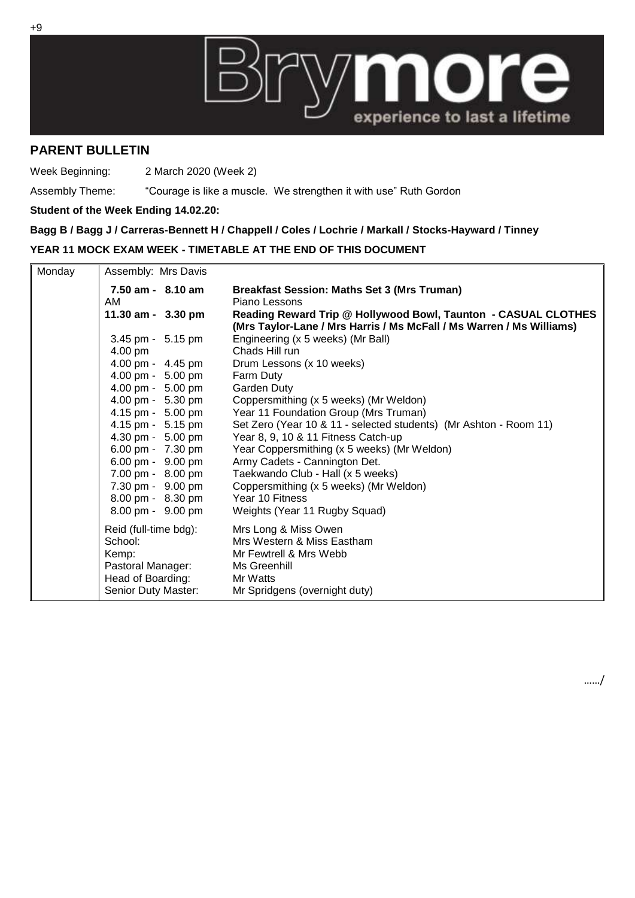

## **PARENT BULLETIN**

Week Beginning: 2 March 2020 (Week 2)

Assembly Theme: "Courage is like a muscle. We strengthen it with use" Ruth Gordon

## **Student of the Week Ending 14.02.20:**

**Bagg B / Bagg J / Carreras-Bennett H / Chappell / Coles / Lochrie / Markall / Stocks-Hayward / Tinney**

## **YEAR 11 MOCK EXAM WEEK - TIMETABLE AT THE END OF THIS DOCUMENT**

| Monday | Assembly: Mrs Davis   |                                                                      |
|--------|-----------------------|----------------------------------------------------------------------|
|        | $7.50$ am - $8.10$ am | <b>Breakfast Session: Maths Set 3 (Mrs Truman)</b>                   |
|        | AM                    | Piano Lessons                                                        |
|        | 11.30 am - 3.30 pm    | Reading Reward Trip @ Hollywood Bowl, Taunton - CASUAL CLOTHES       |
|        |                       | (Mrs Taylor-Lane / Mrs Harris / Ms McFall / Ms Warren / Ms Williams) |
|        | 3.45 pm - 5.15 pm     | Engineering (x 5 weeks) (Mr Ball)                                    |
|        | 4.00 pm               | Chads Hill run                                                       |
|        | 4.00 pm - 4.45 pm     | Drum Lessons (x 10 weeks)                                            |
|        | 4.00 pm - 5.00 pm     | Farm Duty                                                            |
|        | 4.00 pm - 5.00 pm     | Garden Duty                                                          |
|        | 4.00 pm - 5.30 pm     | Coppersmithing (x 5 weeks) (Mr Weldon)                               |
|        | 4.15 pm - 5.00 pm     | Year 11 Foundation Group (Mrs Truman)                                |
|        | 4.15 pm - 5.15 pm     | Set Zero (Year 10 & 11 - selected students) (Mr Ashton - Room 11)    |
|        | 4.30 pm - 5.00 pm     | Year 8, 9, 10 & 11 Fitness Catch-up                                  |
|        | 6.00 pm - 7.30 pm     | Year Coppersmithing (x 5 weeks) (Mr Weldon)                          |
|        | 6.00 pm - 9.00 pm     | Army Cadets - Cannington Det.                                        |
|        | 7.00 pm - 8.00 pm     | Taekwando Club - Hall (x 5 weeks)                                    |
|        | 7.30 pm - 9.00 pm     | Coppersmithing (x 5 weeks) (Mr Weldon)                               |
|        | 8.00 pm - 8.30 pm     | Year 10 Fitness                                                      |
|        | 8.00 pm - 9.00 pm     | Weights (Year 11 Rugby Squad)                                        |
|        | Reid (full-time bdg): | Mrs Long & Miss Owen                                                 |
|        | School:               | Mrs Western & Miss Eastham                                           |
|        | Kemp:                 | Mr Fewtrell & Mrs Webb                                               |
|        | Pastoral Manager:     | Ms Greenhill                                                         |
|        | Head of Boarding:     | Mr Watts                                                             |
|        | Senior Duty Master:   | Mr Spridgens (overnight duty)                                        |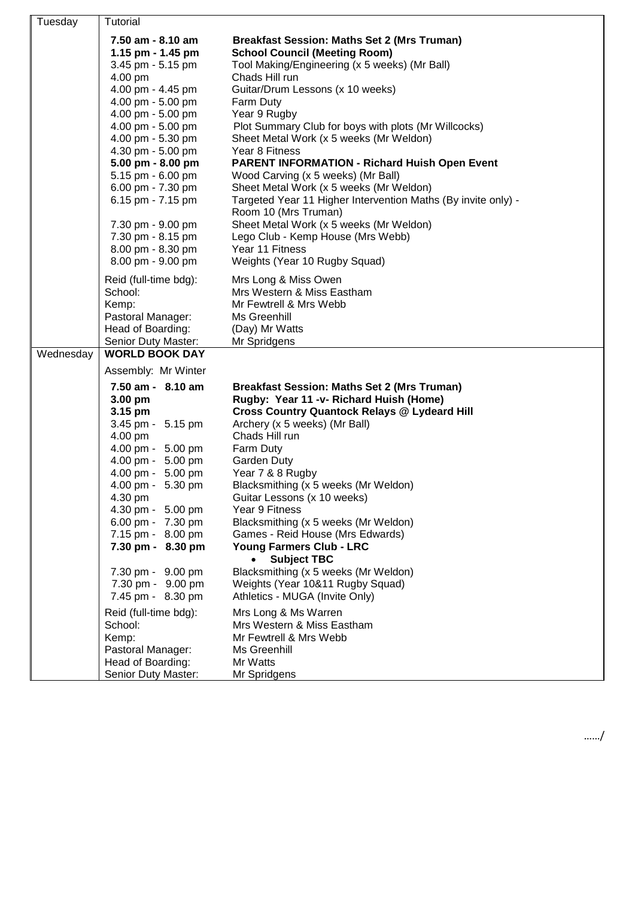| Tuesday   | Tutorial                         |                                                               |
|-----------|----------------------------------|---------------------------------------------------------------|
|           | 7.50 am - 8.10 am                | <b>Breakfast Session: Maths Set 2 (Mrs Truman)</b>            |
|           | 1.15 pm - 1.45 pm                | <b>School Council (Meeting Room)</b>                          |
|           | 3.45 pm - 5.15 pm                | Tool Making/Engineering (x 5 weeks) (Mr Ball)                 |
|           | 4.00 pm                          | Chads Hill run                                                |
|           | 4.00 pm - 4.45 pm                | Guitar/Drum Lessons (x 10 weeks)                              |
|           | 4.00 pm - 5.00 pm                | Farm Duty                                                     |
|           | 4.00 pm - 5.00 pm                | Year 9 Rugby                                                  |
|           | 4.00 pm - 5.00 pm                | Plot Summary Club for boys with plots (Mr Willcocks)          |
|           | 4.00 pm - 5.30 pm                | Sheet Metal Work (x 5 weeks (Mr Weldon)                       |
|           | 4.30 pm - 5.00 pm                | Year 8 Fitness                                                |
|           | 5.00 pm - 8.00 pm                | <b>PARENT INFORMATION - Richard Huish Open Event</b>          |
|           | 5.15 pm - 6.00 pm                | Wood Carving (x 5 weeks) (Mr Ball)                            |
|           | 6.00 pm - 7.30 pm                | Sheet Metal Work (x 5 weeks (Mr Weldon)                       |
|           | 6.15 pm - 7.15 pm                | Targeted Year 11 Higher Intervention Maths (By invite only) - |
|           |                                  | Room 10 (Mrs Truman)                                          |
|           | 7.30 pm - 9.00 pm                | Sheet Metal Work (x 5 weeks (Mr Weldon)                       |
|           | 7.30 pm - 8.15 pm                | Lego Club - Kemp House (Mrs Webb)                             |
|           | 8.00 pm - 8.30 pm                | Year 11 Fitness                                               |
|           | 8.00 pm - 9.00 pm                | Weights (Year 10 Rugby Squad)                                 |
|           | Reid (full-time bdg):            | Mrs Long & Miss Owen                                          |
|           | School:                          | Mrs Western & Miss Eastham                                    |
|           | Kemp:                            | Mr Fewtrell & Mrs Webb                                        |
|           | Pastoral Manager:                | Ms Greenhill                                                  |
|           | Head of Boarding:                | (Day) Mr Watts                                                |
|           | Senior Duty Master:              | Mr Spridgens                                                  |
| Wednesday | <b>WORLD BOOK DAY</b>            |                                                               |
|           | Assembly: Mr Winter              |                                                               |
|           | 7.50 am - 8.10 am                | <b>Breakfast Session: Maths Set 2 (Mrs Truman)</b>            |
|           | 3.00 pm                          | Rugby: Year 11 -v- Richard Huish (Home)                       |
|           | 3.15 pm                          | <b>Cross Country Quantock Relays @ Lydeard Hill</b>           |
|           | 3.45 pm - 5.15 pm                | Archery (x 5 weeks) (Mr Ball)                                 |
|           | 4.00 pm                          | Chads Hill run                                                |
|           | 4.00 pm - 5.00 pm                | Farm Duty                                                     |
|           | 4.00 pm - 5.00 pm                | Garden Duty                                                   |
|           | 4.00 pm - 5.00 pm                | Year 7 & 8 Rugby                                              |
|           | 4.00 pm - 5.30 pm                | Blacksmithing (x 5 weeks (Mr Weldon)                          |
|           | 4.30 pm                          | Guitar Lessons (x 10 weeks)                                   |
|           | 4.30 pm - 5.00 pm                | Year 9 Fitness                                                |
|           | 6.00 pm - 7.30 pm                | Blacksmithing (x 5 weeks (Mr Weldon)                          |
|           | 7.15 pm - 8.00 pm                | Games - Reid House (Mrs Edwards)                              |
|           | 7.30 pm - 8.30 pm                | Young Farmers Club - LRC<br><b>Subject TBC</b><br>$\bullet$   |
|           | 7.30 pm - 9.00 pm                | Blacksmithing (x 5 weeks (Mr Weldon)                          |
|           | 7.30 pm - 9.00 pm                | Weights (Year 10&11 Rugby Squad)                              |
|           | 7.45 pm - 8.30 pm                | Athletics - MUGA (Invite Only)                                |
|           |                                  |                                                               |
|           | Reid (full-time bdg):<br>School: | Mrs Long & Ms Warren<br>Mrs Western & Miss Eastham            |
|           | Kemp:                            | Mr Fewtrell & Mrs Webb                                        |
|           | Pastoral Manager:                | Ms Greenhill                                                  |
|           | Head of Boarding:                | Mr Watts                                                      |
|           | Senior Duty Master:              | Mr Spridgens                                                  |
|           |                                  |                                                               |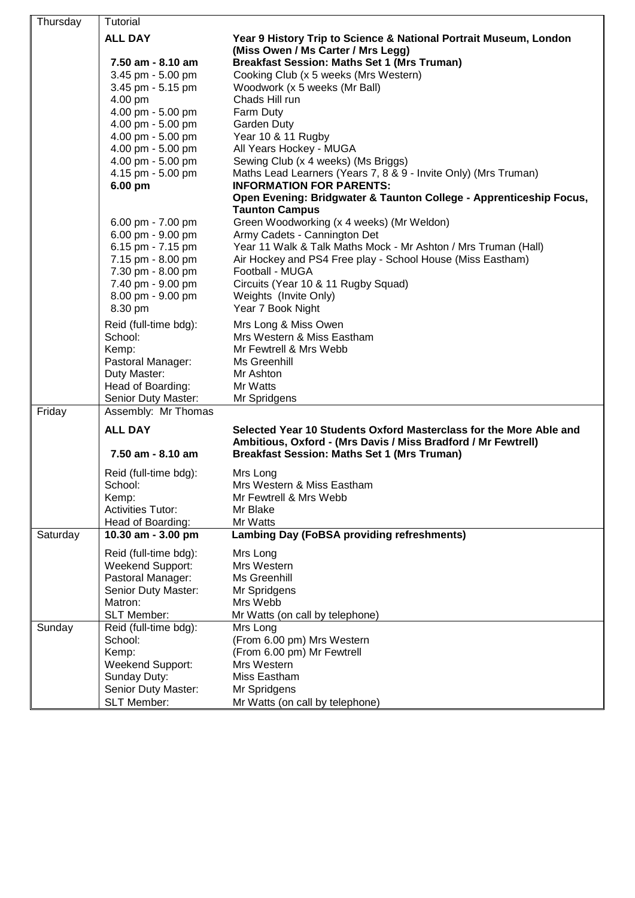| Thursday | <b>Tutorial</b>              |                                                                                                                                     |  |  |
|----------|------------------------------|-------------------------------------------------------------------------------------------------------------------------------------|--|--|
|          | <b>ALL DAY</b>               | Year 9 History Trip to Science & National Portrait Museum, London<br>(Miss Owen / Ms Carter / Mrs Legg)                             |  |  |
|          | 7.50 am - 8.10 am            | <b>Breakfast Session: Maths Set 1 (Mrs Truman)</b>                                                                                  |  |  |
|          | 3.45 pm - 5.00 pm            | Cooking Club (x 5 weeks (Mrs Western)                                                                                               |  |  |
|          | 3.45 pm - 5.15 pm            | Woodwork (x 5 weeks (Mr Ball)                                                                                                       |  |  |
|          | 4.00 pm                      | Chads Hill run                                                                                                                      |  |  |
|          | 4.00 pm - 5.00 pm            | Farm Duty                                                                                                                           |  |  |
|          | 4.00 pm - 5.00 pm            | Garden Duty                                                                                                                         |  |  |
|          | 4.00 pm - 5.00 pm            | Year 10 & 11 Rugby                                                                                                                  |  |  |
|          | 4.00 pm - 5.00 pm            | All Years Hockey - MUGA                                                                                                             |  |  |
|          | 4.00 pm - 5.00 pm            | Sewing Club (x 4 weeks) (Ms Briggs)                                                                                                 |  |  |
|          | 4.15 pm - 5.00 pm<br>6.00 pm | Maths Lead Learners (Years 7, 8 & 9 - Invite Only) (Mrs Truman)<br><b>INFORMATION FOR PARENTS:</b>                                  |  |  |
|          |                              | Open Evening: Bridgwater & Taunton College - Apprenticeship Focus,                                                                  |  |  |
|          |                              | <b>Taunton Campus</b>                                                                                                               |  |  |
|          | 6.00 pm - 7.00 pm            | Green Woodworking (x 4 weeks) (Mr Weldon)                                                                                           |  |  |
|          | 6.00 pm - 9.00 pm            | Army Cadets - Cannington Det                                                                                                        |  |  |
|          | 6.15 pm - 7.15 pm            | Year 11 Walk & Talk Maths Mock - Mr Ashton / Mrs Truman (Hall)                                                                      |  |  |
|          | 7.15 pm - 8.00 pm            | Air Hockey and PS4 Free play - School House (Miss Eastham)                                                                          |  |  |
|          | 7.30 pm - 8.00 pm            | Football - MUGA                                                                                                                     |  |  |
|          | 7.40 pm - 9.00 pm            | Circuits (Year 10 & 11 Rugby Squad)                                                                                                 |  |  |
|          | 8.00 pm - 9.00 pm            | Weights (Invite Only)                                                                                                               |  |  |
|          | 8.30 pm                      | Year 7 Book Night                                                                                                                   |  |  |
|          | Reid (full-time bdg):        | Mrs Long & Miss Owen                                                                                                                |  |  |
|          | School:                      | Mrs Western & Miss Eastham                                                                                                          |  |  |
|          | Kemp:                        | Mr Fewtrell & Mrs Webb                                                                                                              |  |  |
|          | Pastoral Manager:            | Ms Greenhill                                                                                                                        |  |  |
|          | Duty Master:                 | Mr Ashton                                                                                                                           |  |  |
|          | Head of Boarding:            | Mr Watts                                                                                                                            |  |  |
|          | Senior Duty Master:          | Mr Spridgens                                                                                                                        |  |  |
| Friday   | Assembly: Mr Thomas          |                                                                                                                                     |  |  |
|          |                              |                                                                                                                                     |  |  |
|          | <b>ALL DAY</b>               | Selected Year 10 Students Oxford Masterclass for the More Able and<br>Ambitious, Oxford - (Mrs Davis / Miss Bradford / Mr Fewtrell) |  |  |
|          | 7.50 am - 8.10 am            | <b>Breakfast Session: Maths Set 1 (Mrs Truman)</b>                                                                                  |  |  |
|          |                              |                                                                                                                                     |  |  |
|          | Reid (full-time bdg):        | Mrs Long                                                                                                                            |  |  |
|          | School:                      | Mrs Western & Miss Eastham                                                                                                          |  |  |
|          | Kemp:                        | Mr Fewtrell & Mrs Webb                                                                                                              |  |  |
|          | <b>Activities Tutor:</b>     | Mr Blake                                                                                                                            |  |  |
|          | Head of Boarding:            | Mr Watts                                                                                                                            |  |  |
| Saturday | 10.30 am - 3.00 pm           | <b>Lambing Day (FoBSA providing refreshments)</b>                                                                                   |  |  |
|          | Reid (full-time bdg):        | Mrs Long                                                                                                                            |  |  |
|          | <b>Weekend Support:</b>      | Mrs Western                                                                                                                         |  |  |
|          | Pastoral Manager:            | Ms Greenhill                                                                                                                        |  |  |
|          | Senior Duty Master:          | Mr Spridgens                                                                                                                        |  |  |
|          | Matron:                      | Mrs Webb                                                                                                                            |  |  |
|          | <b>SLT Member:</b>           | Mr Watts (on call by telephone)                                                                                                     |  |  |
| Sunday   | Reid (full-time bdg):        | Mrs Long                                                                                                                            |  |  |
|          | School:                      | (From 6.00 pm) Mrs Western                                                                                                          |  |  |
|          | Kemp:                        | (From 6.00 pm) Mr Fewtrell                                                                                                          |  |  |
|          | <b>Weekend Support:</b>      | Mrs Western                                                                                                                         |  |  |
|          | Sunday Duty:                 | Miss Eastham                                                                                                                        |  |  |
|          | Senior Duty Master:          | Mr Spridgens                                                                                                                        |  |  |
|          | <b>SLT Member:</b>           | Mr Watts (on call by telephone)                                                                                                     |  |  |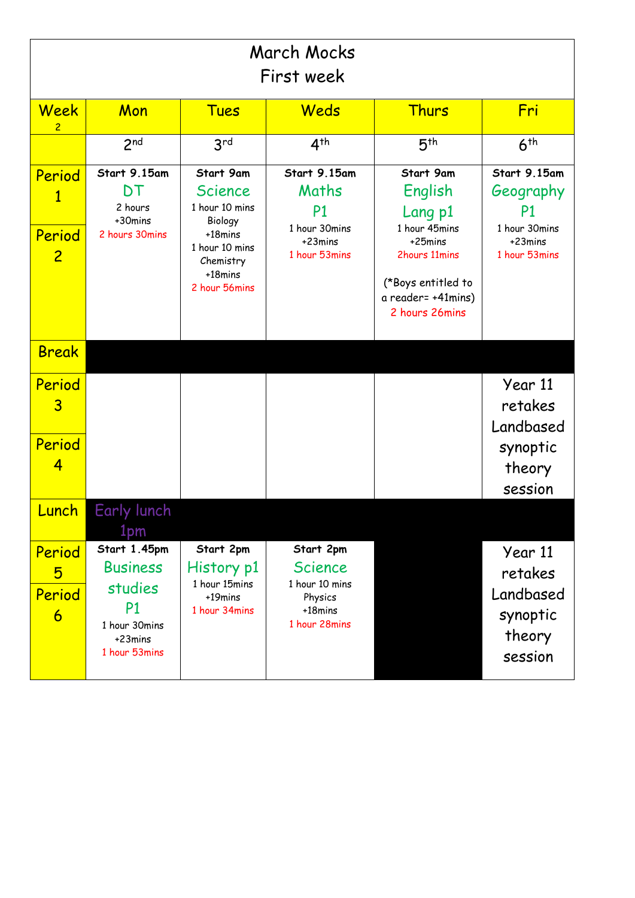| March Mocks<br>First week          |                                                                                                              |                                                                                                                                |                                                                                      |                                                                                                                                            |                                                                              |
|------------------------------------|--------------------------------------------------------------------------------------------------------------|--------------------------------------------------------------------------------------------------------------------------------|--------------------------------------------------------------------------------------|--------------------------------------------------------------------------------------------------------------------------------------------|------------------------------------------------------------------------------|
| Week<br>2                          | Mon                                                                                                          | <b>Tues</b>                                                                                                                    | Weds                                                                                 | <b>Thurs</b>                                                                                                                               | Fri                                                                          |
|                                    | 2 <sup>nd</sup>                                                                                              | 3 <sup>rd</sup>                                                                                                                | 4 <sup>th</sup>                                                                      | 5 <sup>th</sup>                                                                                                                            | 6 <sup>th</sup>                                                              |
| Period<br>Period<br>$\overline{2}$ | Start 9.15am<br>DT<br>2 hours<br>+30mins<br>2 hours 30mins                                                   | Start 9am<br><b>Science</b><br>1 hour 10 mins<br>Biology<br>+18mins<br>1 hour 10 mins<br>Chemistry<br>+18mins<br>2 hour 56mins | Start 9.15am<br>Maths<br>P <sub>1</sub><br>1 hour 30mins<br>+23mins<br>1 hour 53mins | Start 9am<br>English<br>Lang p1<br>1 hour 45mins<br>+25mins<br>2hours 11mins<br>(*Boys entitled to<br>a reader= +41mins)<br>2 hours 26mins | Start 9.15am<br>Geography<br>P1<br>1 hour 30mins<br>+23mins<br>1 hour 53mins |
| <b>Break</b>                       |                                                                                                              |                                                                                                                                |                                                                                      |                                                                                                                                            |                                                                              |
| Period<br>$\overline{3}$           |                                                                                                              |                                                                                                                                |                                                                                      |                                                                                                                                            | Year 11<br>retakes<br>Landbased                                              |
| Period<br>4                        |                                                                                                              |                                                                                                                                |                                                                                      |                                                                                                                                            | synoptic<br>theory<br>session                                                |
| unch.                              | <b>Early lunch</b><br>1pm                                                                                    |                                                                                                                                |                                                                                      |                                                                                                                                            |                                                                              |
| Period<br>5<br>Period<br>6         | Start 1.45pm<br><b>Business</b><br>studies<br>P <sub>1</sub><br>1 hour 30mins<br>$+23$ mins<br>1 hour 53mins | Start 2pm<br>History p1<br>1 hour 15mins<br>$+19$ mins<br>1 hour 34mins                                                        | Start 2pm<br><b>Science</b><br>1 hour 10 mins<br>Physics<br>+18mins<br>1 hour 28mins |                                                                                                                                            | Year 11<br>retakes<br>Landbased<br>synoptic<br>theory<br>session             |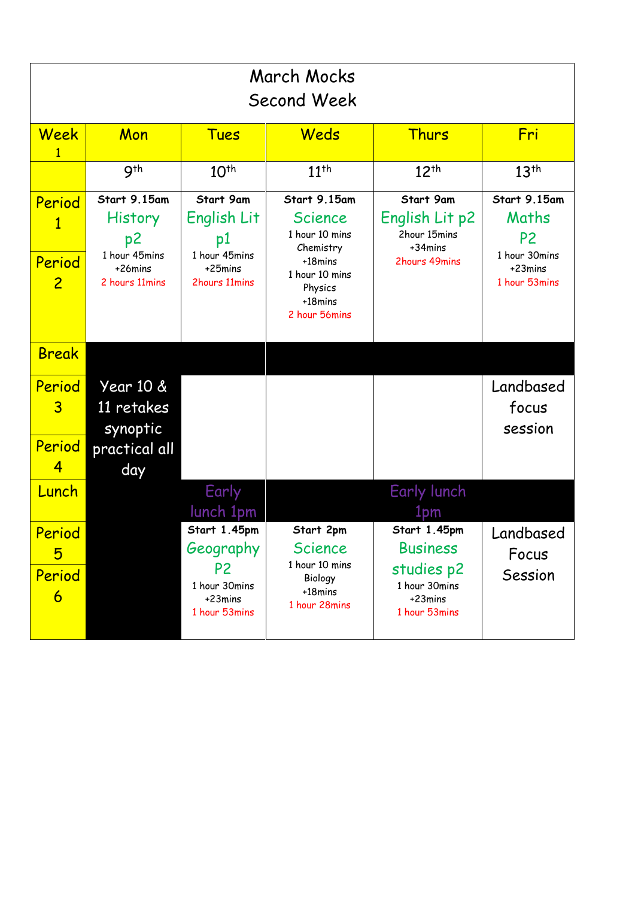| March Mocks<br>Second Week                           |                                                                                    |                                                                                          |                                                                                                                            |                                                                                            |                                                                                      |
|------------------------------------------------------|------------------------------------------------------------------------------------|------------------------------------------------------------------------------------------|----------------------------------------------------------------------------------------------------------------------------|--------------------------------------------------------------------------------------------|--------------------------------------------------------------------------------------|
| Week                                                 | Mon                                                                                | <b>Tues</b>                                                                              | Weds                                                                                                                       | <b>Thurs</b>                                                                               | Fri                                                                                  |
|                                                      | 9 <sup>th</sup>                                                                    | 10 <sup>th</sup>                                                                         | $11^{th}$                                                                                                                  | $12^{th}$                                                                                  | 13 <sup>th</sup>                                                                     |
| Period<br>1<br>Period<br>$\overline{2}$              | Start 9.15am<br><b>History</b><br>p2<br>1 hour 45mins<br>+26mins<br>2 hours 11mins | Start 9am<br>English Lit<br>p1<br>1 hour 45mins<br>+25mins<br>2hours 11mins              | Start 9.15am<br>Science<br>1 hour 10 mins<br>Chemistry<br>+18mins<br>1 hour 10 mins<br>Physics<br>+18mins<br>2 hour 56mins | Start 9am<br>English Lit p2<br>2hour 15mins<br>+34mins<br>2hours 49mins                    | Start 9.15am<br>Maths<br>P <sub>2</sub><br>1 hour 30mins<br>+23mins<br>1 hour 53mins |
| <b>Break</b>                                         |                                                                                    |                                                                                          |                                                                                                                            |                                                                                            |                                                                                      |
| Period<br>$\overline{3}$<br>Period<br>$\overline{4}$ | Year 10 &<br>11 retakes<br>synoptic<br>practical all<br>day                        |                                                                                          |                                                                                                                            |                                                                                            | Landbased<br>focus<br>session                                                        |
| Lunch                                                |                                                                                    | Early<br>lunch 1pm                                                                       |                                                                                                                            | Early lunch<br>lpm                                                                         |                                                                                      |
| Period<br>5<br>Period<br>6                           |                                                                                    | Start 1.45pm<br>Geography<br>P <sub>2</sub><br>1 hour 30mins<br>+23mins<br>1 hour 53mins | Start 2pm<br>Science<br>1 hour 10 mins<br>Biology<br>+18mins<br>1 hour 28mins                                              | Start 1.45pm<br><b>Business</b><br>studies p2<br>1 hour 30mins<br>+23mins<br>1 hour 53mins | Landbased<br>Focus<br>Session                                                        |